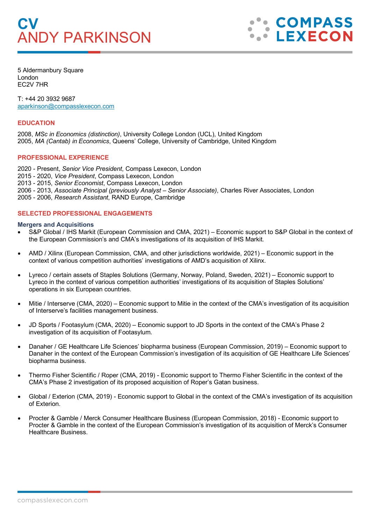# **CV** ANDY PARKINSON



5 Aldermanbury Square London EC2V 7HR

T: +44 20 3932 9687 [aparkinson@compasslexecon.com](mailto:aparkinson@compasslexecon.com) 

### **EDUCATION**

2008, *MSc in Economics (distinction)*, University College London (UCL), United Kingdom 2005, *MA (Cantab) in Economics*, Queens' College, University of Cambridge, United Kingdom

## **PROFESSIONAL EXPERIENCE**

2020 - Present, *Senior Vice President*, Compass Lexecon, London 2015 - 2020, *Vice President*, Compass Lexecon, London 2013 - 2015, *Senior Economist*, Compass Lexecon, London 2006 - 2013, *Associate Principal (previously Analyst – Senior Associate)*, Charles River Associates, London 2005 - 2006, *Research Assistant*, RAND Europe, Cambridge

## **SELECTED PROFESSIONAL ENGAGEMENTS**

#### **Mergers and Acquisitions**

- S&P Global / IHS Markit (European Commission and CMA, 2021) Economic support to S&P Global in the context of the European Commission's and CMA's investigations of its acquisition of IHS Markit.
- AMD / Xilinx (European Commission, CMA, and other jurisdictions worldwide, 2021) Economic support in the context of various competition authorities' investigations of AMD's acquisition of Xilinx.
- Lyreco / certain assets of Staples Solutions (Germany, Norway, Poland, Sweden, 2021) Economic support to Lyreco in the context of various competition authorities' investigations of its acquisition of Staples Solutions' operations in six European countries.
- Mitie / Interserve (CMA, 2020) Economic support to Mitie in the context of the CMA's investigation of its acquisition of Interserve's facilities management business.
- JD Sports / Footasylum (CMA, 2020) Economic support to JD Sports in the context of the CMA's Phase 2 investigation of its acquisition of Footasylum.
- Danaher / GE Healthcare Life Sciences' biopharma business (European Commission, 2019) Economic support to Danaher in the context of the European Commission's investigation of its acquisition of GE Healthcare Life Sciences' biopharma business.
- Thermo Fisher Scientific / Roper (CMA, 2019) Economic support to Thermo Fisher Scientific in the context of the CMA's Phase 2 investigation of its proposed acquisition of Roper's Gatan business.
- Global / Exterion (CMA, 2019) Economic support to Global in the context of the CMA's investigation of its acquisition of Exterion.
- Procter & Gamble / Merck Consumer Healthcare Business (European Commission, 2018) Economic support to Procter & Gamble in the context of the European Commission's investigation of its acquisition of Merck's Consumer Healthcare Business.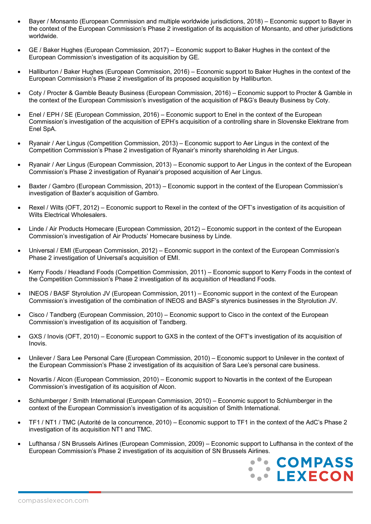- Bayer / Monsanto (European Commission and multiple worldwide jurisdictions, 2018) Economic support to Bayer in the context of the European Commission's Phase 2 investigation of its acquisition of Monsanto, and other jurisdictions worldwide.
- GE / Baker Hughes (European Commission, 2017) Economic support to Baker Hughes in the context of the European Commission's investigation of its acquisition by GE.
- Halliburton / Baker Hughes (European Commission, 2016) Economic support to Baker Hughes in the context of the European Commission's Phase 2 investigation of its proposed acquisition by Halliburton.
- Coty / Procter & Gamble Beauty Business (European Commission, 2016) Economic support to Procter & Gamble in the context of the European Commission's investigation of the acquisition of P&G's Beauty Business by Coty.
- Enel / EPH / SE (European Commission, 2016) Economic support to Enel in the context of the European Commission's investigation of the acquisition of EPH's acquisition of a controlling share in Slovenske Elektrane from Enel SpA.
- Ryanair / Aer Lingus (Competition Commission, 2013) Economic support to Aer Lingus in the context of the Competition Commission's Phase 2 investigation of Ryanair's minority shareholding in Aer Lingus.
- Ryanair / Aer Lingus (European Commission, 2013) Economic support to Aer Lingus in the context of the European Commission's Phase 2 investigation of Ryanair's proposed acquisition of Aer Lingus.
- Baxter / Gambro (European Commission, 2013) Economic support in the context of the European Commission's investigation of Baxter's acquisition of Gambro.
- Rexel / Wilts (OFT, 2012) Economic support to Rexel in the context of the OFT's investigation of its acquisition of Wilts Electrical Wholesalers.
- Linde / Air Products Homecare (European Commission, 2012) Economic support in the context of the European Commission's investigation of Air Products' Homecare business by Linde.
- Universal / EMI (European Commission, 2012) Economic support in the context of the European Commission's Phase 2 investigation of Universal's acquisition of EMI.
- Kerry Foods / Headland Foods (Competition Commission, 2011) Economic support to Kerry Foods in the context of the Competition Commission's Phase 2 investigation of its acquisition of Headland Foods.
- INEOS / BASF Styrolution JV (European Commission, 2011) Economic support in the context of the European Commission's investigation of the combination of INEOS and BASF's styrenics businesses in the Styrolution JV.
- Cisco / Tandberg (European Commission, 2010) Economic support to Cisco in the context of the European Commission's investigation of its acquisition of Tandberg.
- GXS / Inovis (OFT, 2010) Economic support to GXS in the context of the OFT's investigation of its acquisition of Inovis.
- Unilever / Sara Lee Personal Care (European Commission, 2010) Economic support to Unilever in the context of the European Commission's Phase 2 investigation of its acquisition of Sara Lee's personal care business.
- Novartis / Alcon (European Commission, 2010) Economic support to Novartis in the context of the European Commission's investigation of its acquisition of Alcon.
- Schlumberger / Smith International (European Commission, 2010) Economic support to Schlumberger in the context of the European Commission's investigation of its acquisition of Smith International.
- TF1 / NT1 / TMC (Autorité de la concurrence, 2010) Economic support to TF1 in the context of the AdC's Phase 2 investigation of its acquisition NT1 and TMC.
- Lufthansa / SN Brussels Airlines (European Commission, 2009) Economic support to Lufthansa in the context of the European Commission's Phase 2 investigation of its acquisition of SN Brussels Airlines.